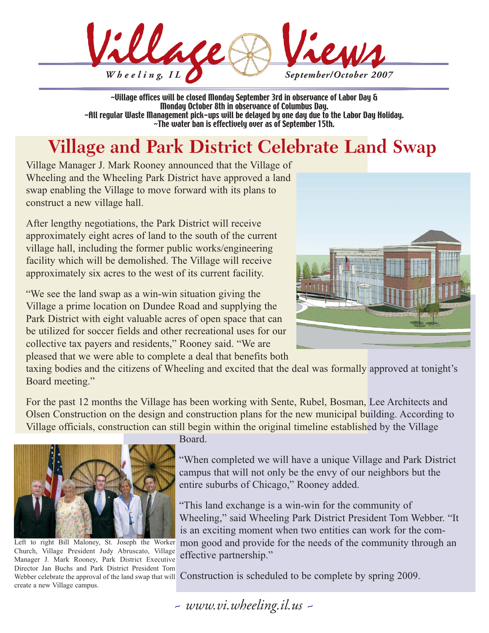

~Village offices will be closed Monday September 3rd in observance of Labor Day & Monday October 8th in observance of Columbus Day. ~All regular Waste Management pick-ups will be delayed by one day due to the Labor Day Holiday. ~The water ban is effectively over as of September 15th.

# **Village and Park District Celebrate Land Swap**

Village Manager J. Mark Rooney announced that the Village of Wheeling and the Wheeling Park District have approved a land swap enabling the Village to move forward with its plans to construct a new village hall.

After lengthy negotiations, the Park District will receive approximately eight acres of land to the south of the current village hall, including the former public works/engineering facility which will be demolished. The Village will receive approximately six acres to the west of its current facility.

"We see the land swap as a win-win situation giving the Village a prime location on Dundee Road and supplying the Park District with eight valuable acres of open space that can be utilized for soccer fields and other recreational uses for our collective tax payers and residents," Rooney said. "We are pleased that we were able to complete a deal that benefits both



taxing bodies and the citizens of Wheeling and excited that the deal was formally approved at tonight's Board meeting."

For the past 12 months the Village has been working with Sente, Rubel, Bosman, Lee Architects and Olsen Construction on the design and construction plans for the new municipal building. According to Village officials, construction can still begin within the original timeline established by the Village



Left to right Bill Maloney, St. Joseph the Worker Church, Village President Judy Abruscato, Village Manager J. Mark Rooney, Park District Executive Director Jan Buchs and Park District President Tom create a new Village campus.

Board.

"When completed we will have a unique Village and Park District campus that will not only be the envy of our neighbors but the entire suburbs of Chicago," Rooney added.

"This land exchange is a win-win for the community of Wheeling," said Wheeling Park District President Tom Webber. "It is an exciting moment when two entities can work for the common good and provide for the needs of the community through an effective partnership."

Webber celebrate the approval of the land swap that will Construction is scheduled to be complete by spring 2009.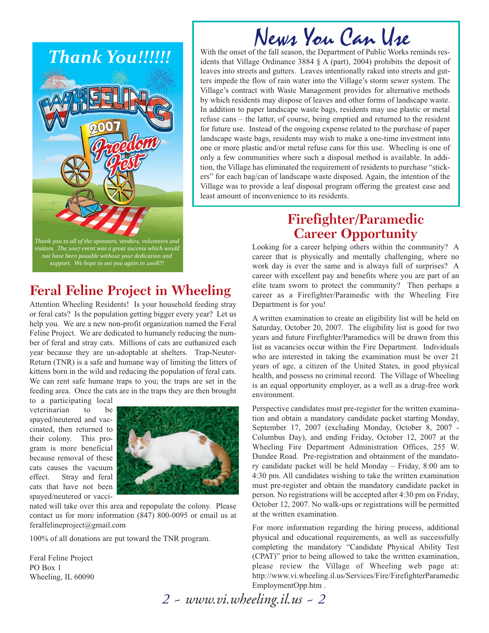

# News You Can Use

With the onset of the fall season, the Department of Public Works reminds residents that Village Ordinance 3884 § A (part), 2004) prohibits the deposit of leaves into streets and gutters. Leaves intentionally raked into streets and gutters impede the flow of rain water into the Village's storm sewer system. The Village's contract with Waste Management provides for alternative methods by which residents may dispose of leaves and other forms of landscape waste. In addition to paper landscape waste bags, residents may use plastic or metal refuse cans – the latter, of course, being emptied and returned to the resident for future use. Instead of the ongoing expense related to the purchase of paper landscape waste bags, residents may wish to make a one-time investment into one or more plastic and/or metal refuse cans for this use. Wheeling is one of only a few communities where such a disposal method is available. In addition, the Village has eliminated the requirement of residents to purchase "stickers" for each bag/can of landscape waste disposed. Again, the intention of the Village was to provide a leaf disposal program offering the greatest ease and least amount of inconvenience to its residents.

*Thank you to all of the sponsors, vendors, volunteers and visitors. The 2007 event was a great success which would not have been possible without your dedication and support. We hope to see you again in 2008!!!*

# **Feral Feline Project in Wheeling**

Attention Wheeling Residents! Is your household feeding stray or feral cats? Is the population getting bigger every year? Let us help you. We are a new non-profit organization named the Feral Feline Project. We are dedicated to humanely reducing the number of feral and stray cats. Millions of cats are euthanized each year because they are un-adoptable at shelters. Trap-Neuter-Return (TNR) is a safe and humane way of limiting the litters of kittens born in the wild and reducing the population of feral cats. We can rent safe humane traps to you; the traps are set in the feeding area. Once the cats are in the traps they are then brought

to a participating local veterinarian to be spayed/neutered and vaccinated, then returned to their colony. This program is more beneficial because removal of these cats causes the vacuum effect. Stray and feral cats that have not been spayed/neutered or vacci-



nated will take over this area and repopulate the colony. Please contact us for more information (847) 800-0095 or email us at feralfelineproject@gmail.com

100% of all donations are put toward the TNR program.

Feral Feline Project PO Box 1 Wheeling, IL 60090

# **Firefighter/Paramedic Career Opportunity**

Looking for a career helping others within the community? A career that is physically and mentally challenging, where no work day is ever the same and is always full of surprises? A career with excellent pay and benefits where you are part of an elite team sworn to protect the community? Then perhaps a career as a Firefighter/Paramedic with the Wheeling Fire Department is for you!

A written examination to create an eligibility list will be held on Saturday, October 20, 2007. The eligibility list is good for two years and future Firefighter/Paramedics will be drawn from this list as vacancies occur within the Fire Department. Individuals who are interested in taking the examination must be over 21 years of age, a citizen of the United States, in good physical health, and possess no criminal record. The Village of Wheeling is an equal opportunity employer, as a well as a drug-free work environment.

Perspective candidates must pre-register for the written examination and obtain a mandatory candidate packet starting Monday, September 17, 2007 (excluding Monday, October 8, 2007 - Columbus Day), and ending Friday, October 12, 2007 at the Wheeling Fire Department Administration Offices, 255 W. Dundee Road. Pre-registration and obtainment of the mandatory candidate packet will be held Monday – Friday, 8:00 am to 4:30 pm. All candidates wishing to take the written examination must pre-register and obtain the mandatory candidate packet in person. No registrations will be accepted after 4:30 pm on Friday, October 12, 2007. No walk-ups or registrations will be permitted at the written examination.

For more information regarding the hiring process, additional physical and educational requirements, as well as successfully completing the mandatory "Candidate Physical Ability Test (CPAT)" prior to being allowed to take the written examination, please review the Village of Wheeling web page at: http://www.vi.wheeling.il.us/Services/Fire/FirefighterParamedic EmploymentOpp.htm .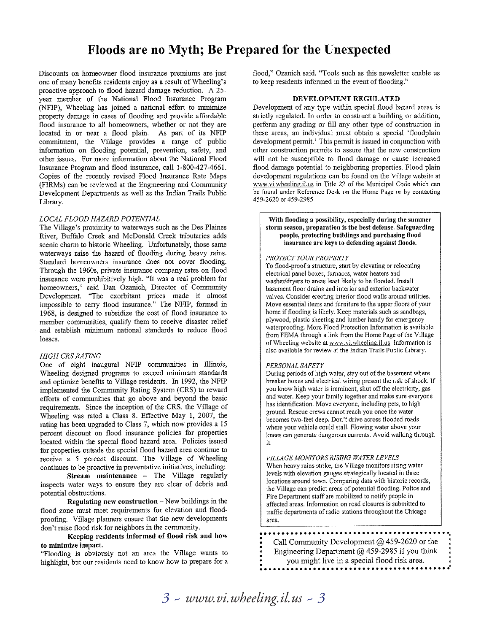## Floods are no Myth; Be Prepared for the Unexpected

Discounts on homeowner flood insurance premiums are just one of many benefits residents enjoy as a result of Wheeling's proactive approach to flood hazard damage reduction. A 25year member of the National Flood Insurance Program (NFIP), Wheeling has joined a national effort to minimize property damage in cases of flooding and provide affordable flood insurance to all homeowners, whether or not they are located in or near a flood plain. As part of its NFIP commitment, the Village provides a range of public information on flooding potential, prevention, safety, and other issues. For more information about the National Flood Insurance Program and flood insurance, call 1-800-427-4661. Copies of the recently revised Flood Insurance Rate Maps (FIRMs) can be reviewed at the Engineering and Community Development Departments as well as the Indian Trails Public Library.

#### LOCAL FLOOD HAZARD POTENTIAL

The Village's proximity to waterways such as the Des Plaines River, Buffalo Creek and McDonald Creek tributaries adds scenic charm to historic Wheeling. Unfortunately, those same waterways raise the hazard of flooding during heavy rains. Standard homeowners insurance does not cover flooding. Through the 1960s, private insurance company rates on flood insurance were prohibitively high. "It was a real problem for homeowners," said Dan Ozanich, Director of Community Development. "The exorbitant prices made it almost impossible to carry flood insurance." The NFIP, formed in 1968, is designed to subsidize the cost of flood insurance to member communities, qualify them to receive disaster relief and establish minimum national standards to reduce flood losses.

#### **HIGH CRS RATING**

One of eight inaugural NFIP communities in Illinois, Wheeling designed programs to exceed minimum standards and optimize benefits to Village residents. In 1992, the NFIP implemented the Community Rating System (CRS) to reward efforts of communities that go above and beyond the basic requirements. Since the inception of the CRS, the Village of Wheeling was rated a Class 8. Effective May 1, 2007, the rating has been upgraded to Class 7, which now provides a 15 percent discount on flood insurance policies for properties located within the special flood hazard area. Policies issued for properties outside the special flood hazard area continue to receive a 5 percent discount. The Village of Wheeling continues to be proactive in preventative initiatives, including:

Stream maintenance - The Village regularly inspects water ways to ensure they are clear of debris and potential obstructions.

Regulating new construction - New buildings in the flood zone must meet requirements for elevation and floodproofing. Village planners ensure that the new developments don't raise flood risk for neighbors in the community.

Keeping residents informed of flood risk and how to minimize impact.

"Flooding is obviously not an area the Village wants to highlight, but our residents need to know how to prepare for a flood," Ozanich said. "Tools such as this newsletter enable us to keep residents informed in the event of flooding."

#### DEVELOPMENT REGULATED

Development of any type within special flood hazard areas is strictly regulated. In order to construct a building or addition, perform any grading or fill any other type of construction in these areas, an individual must obtain a special 'floodplain development permit.' This permit is issued in conjunction with other construction permits to assure that the new construction will not be susceptible to flood damage or cause increased flood damage potential to neighboring properties. Flood plain development regulations can be found on the Village website at www.vi.wheeling.il.us in Title 22 of the Municipal Code which can be found under Reference Desk on the Home Page or by contacting 459-2620 or 459-2985.

With flooding a possibility, especially during the summer storm season, preparation is the best defense. Safeguarding people, protecting buildings and purchasing flood insurance are keys to defending against floods.

#### PROTECT YOUR PROPERTY

To flood-proof a structure, start by elevating or relocating electrical panel boxes, furnaces, water heaters and washer/dryers to areas least likely to be flooded. Install basement floor drains and interior and exterior backwater valves. Consider erecting interior flood walls around utilities. Move essential items and furniture to the upper floors of your home if flooding is likely. Keep materials such as sandbags, plywood, plastic sheeting and lumber handy for emergency waterproofing. More Flood Protection Information is available from FEMA through a link from the Home Page of the Village of Wheeling website at www.vi.wheeling.il.us. Information is also available for review at the Indian Trails Public Library.

#### PERSONAL SAFETY

During periods of high water, stay out of the basement where breaker boxes and electrical wiring present the risk of shock. If you know high water is imminent, shut off the electricity, gas and water. Keep your family together and make sure everyone has identification. Move everyone, including pets, to high ground. Rescue crews cannot reach you once the water becomes two-feet deep. Don't drive across flooded roads where your vehicle could stall. Flowing water above your knees can generate dangerous currents. Avoid walking through it.

VILLAGE MONITORS RISING WATER LEVELS

When heavy rains strike, the Village monitors rising water levels with elevation gauges strategically located in three locations around town. Comparing data with historic records, the Village can predict areas of potential flooding. Police and Fire Department staff are mobilized to notify people in affected areas. Information on road closures is submitted to traffic departments of radio stations throughout the Chicago area.

Call Community Development  $@$  459-2620 or the Engineering Department  $\omega$  459-2985 if you think you might live in a special flood risk area.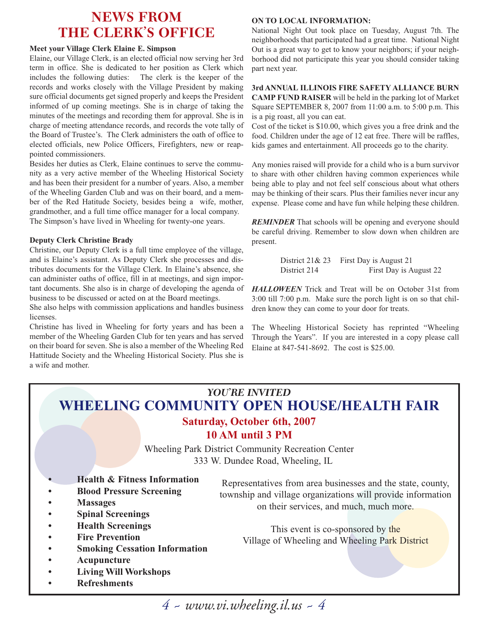## **NEWS FROM THE CLERK'S OFFICE**

#### **Meet your Village Clerk Elaine E. Simpson**

Elaine, our Village Clerk, is an elected official now serving her 3rd term in office. She is dedicated to her position as Clerk which includes the following duties: The clerk is the keeper of the records and works closely with the Village President by making sure official documents get signed properly and keeps the President informed of up coming meetings. She is in charge of taking the minutes of the meetings and recording them for approval. She is in charge of meeting attendance records, and records the vote tally of the Board of Trustee's. The Clerk administers the oath of office to elected officials, new Police Officers, Firefighters, new or reappointed commissioners.

Besides her duties as Clerk, Elaine continues to serve the community as a very active member of the Wheeling Historical Society and has been their president for a number of years. Also, a member of the Wheeling Garden Club and was on their board, and a member of the Red Hatitude Society, besides being a wife, mother, grandmother, and a full time office manager for a local company. The Simpson's have lived in Wheeling for twenty-one years.

#### **Deputy Clerk Christine Brady**

Christine, our Deputy Clerk is a full time employee of the village, and is Elaine's assistant. As Deputy Clerk she processes and distributes documents for the Village Clerk. In Elaine's absence, she can administer oaths of office, fill in at meetings, and sign important documents. She also is in charge of developing the agenda of business to be discussed or acted on at the Board meetings.

She also helps with commission applications and handles business licenses.

Christine has lived in Wheeling for forty years and has been a member of the Wheeling Garden Club for ten years and has served on their board for seven. She is also a member of the Wheeling Red Hattitude Society and the Wheeling Historical Society. Plus she is a wife and mother.

#### **ON TO LOCAL INFORMATION:**

National Night Out took place on Tuesday, August 7th. The neighborhoods that participated had a great time. National Night Out is a great way to get to know your neighbors; if your neighborhood did not participate this year you should consider taking part next year.

### **3rd ANNUAL ILLINOIS FIRE SAFETY ALLIANCE BURN**

**CAMP FUND RAISER** will be held in the parking lot of Market Square SEPTEMBER 8, 2007 from 11:00 a.m. to 5:00 p.m. This is a pig roast, all you can eat.

Cost of the ticket is \$10.00, which gives you a free drink and the food. Children under the age of 12 eat free. There will be raffles, kids games and entertainment. All proceeds go to the charity.

Any monies raised will provide for a child who is a burn survivor to share with other children having common experiences while being able to play and not feel self conscious about what others may be thinking of their scars. Plus their families never incur any expense. Please come and have fun while helping these children.

**REMINDER** That schools will be opening and everyone should be careful driving. Remember to slow down when children are present.

> District 21& 23 First Day is August 21 District 214 First Day is August 22

*HALLOWEEN* Trick and Treat will be on October 31st from 3:00 till 7:00 p.m. Make sure the porch light is on so that children know they can come to your door for treats.

The Wheeling Historical Society has reprinted "Wheeling Through the Years". If you are interested in a copy please call Elaine at 847-541-8692. The cost is \$25.00.

## *YOU'RE INVITED* **WHEELING COMMUNITY OPEN HOUSE/HEALTH FAIR**

## **Saturday, October 6th, 2007 10 AM until 3 PM**

Wheeling Park District Community Recreation Center 333 W. Dundee Road, Wheeling, IL

- **Health & Fitness Information**
- **Blood Pressure Screening**
- **Massages**
- **Spinal Screenings**
- **Health Screenings**
- **Fire Prevention**
- **Smoking Cessation Information**
- **Acupuncture**
- **Living Will Workshops**
- **Refreshments**

Representatives from area businesses and the state, county, township and village organizations will provide information on their services, and much, much more.

This event is co-sponsored by the Village of Wheeling and Wheeling Park District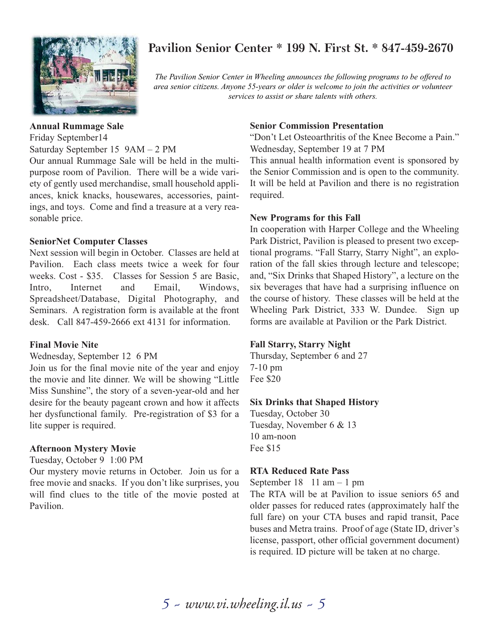

## **Pavilion Senior Center \* 199 N. First St. \* 847-459-2670**

*The Pavilion Senior Center in Wheeling announces the following programs to be offered to area senior citizens. Anyone 55-years or older is welcome to join the activities or volunteer services to assist or share talents with others.*

### **Annual Rummage Sale**

Friday September14 Saturday September 15 9AM – 2 PM

Our annual Rummage Sale will be held in the multipurpose room of Pavilion. There will be a wide variety of gently used merchandise, small household appliances, knick knacks, housewares, accessories, paintings, and toys. Come and find a treasure at a very reasonable price.

## **SeniorNet Computer Classes**

Next session will begin in October. Classes are held at Pavilion. Each class meets twice a week for four weeks. Cost - \$35. Classes for Session 5 are Basic, Intro, Internet and Email, Windows, Spreadsheet/Database, Digital Photography, and Seminars. A registration form is available at the front desk. Call 847-459-2666 ext 4131 for information.

#### **Final Movie Nite**

Wednesday, September 12 6 PM

Join us for the final movie nite of the year and enjoy the movie and lite dinner. We will be showing "Little Miss Sunshine", the story of a seven-year-old and her desire for the beauty pageant crown and how it affects her dysfunctional family. Pre-registration of \$3 for a lite supper is required.

## **Afternoon Mystery Movie**

#### Tuesday, October 9 1:00 PM

Our mystery movie returns in October. Join us for a free movie and snacks. If you don't like surprises, you will find clues to the title of the movie posted at Pavilion.

### **Senior Commission Presentation**

"Don't Let Osteoarthritis of the Knee Become a Pain." Wednesday, September 19 at 7 PM

This annual health information event is sponsored by the Senior Commission and is open to the community. It will be held at Pavilion and there is no registration required.

#### **New Programs for this Fall**

In cooperation with Harper College and the Wheeling Park District, Pavilion is pleased to present two exceptional programs. "Fall Starry, Starry Night", an exploration of the fall skies through lecture and telescope; and, "Six Drinks that Shaped History", a lecture on the six beverages that have had a surprising influence on the course of history. These classes will be held at the Wheeling Park District, 333 W. Dundee. Sign up forms are available at Pavilion or the Park District.

## **Fall Starry, Starry Night**

Thursday, September 6 and 27 7-10 pm Fee \$20

#### **Six Drinks that Shaped History**

Tuesday, October 30 Tuesday, November 6 & 13 10 am-noon Fee \$15

#### **RTA Reduced Rate Pass**

September  $18 \quad 11 \text{ am} - 1 \text{ pm}$ 

The RTA will be at Pavilion to issue seniors 65 and older passes for reduced rates (approximately half the full fare) on your CTA buses and rapid transit, Pace buses and Metra trains. Proof of age (State ID, driver's license, passport, other official government document) is required. ID picture will be taken at no charge.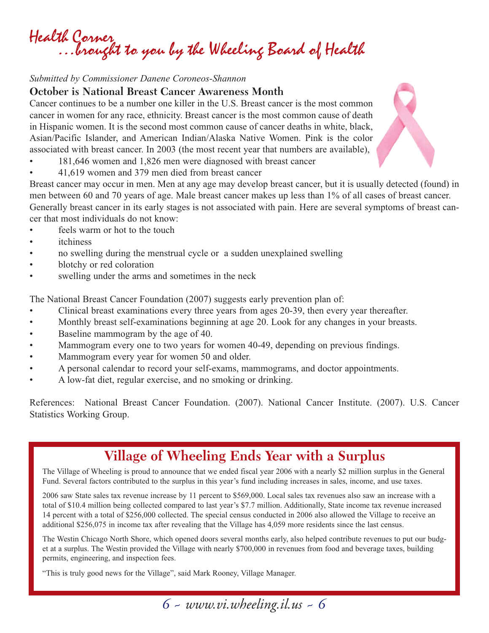Health Corner …brought to you by the Wheeling Board of Health

#### *Submitted by Commissioner Danene Coroneos-Shannon*

#### **October is National Breast Cancer Awareness Month**

Cancer continues to be a number one killer in the U.S. Breast cancer is the most common cancer in women for any race, ethnicity. Breast cancer is the most common cause of death in Hispanic women. It is the second most common cause of cancer deaths in white, black, Asian/Pacific Islander, and American Indian/Alaska Native Women. Pink is the color associated with breast cancer. In 2003 (the most recent year that numbers are available),

- 181,646 women and 1,826 men were diagnosed with breast cancer
- 41,619 women and 379 men died from breast cancer

Breast cancer may occur in men. Men at any age may develop breast cancer, but it is usually detected (found) in men between 60 and 70 years of age. Male breast cancer makes up less than 1% of all cases of breast cancer. Generally breast cancer in its early stages is not associated with pain. Here are several symptoms of breast cancer that most individuals do not know:

- feels warm or hot to the touch
- *itchiness*
- no swelling during the menstrual cycle or a sudden unexplained swelling
- blotchy or red coloration
- swelling under the arms and sometimes in the neck

The National Breast Cancer Foundation (2007) suggests early prevention plan of:

- Clinical breast examinations every three years from ages 20-39, then every year thereafter.
- Monthly breast self-examinations beginning at age 20. Look for any changes in your breasts.
- Baseline mammogram by the age of 40.
- Mammogram every one to two years for women 40-49, depending on previous findings.
- Mammogram every year for women 50 and older.
- A personal calendar to record your self-exams, mammograms, and doctor appointments.
- A low-fat diet, regular exercise, and no smoking or drinking.

References: National Breast Cancer Foundation. (2007). National Cancer Institute. (2007). U.S. Cancer Statistics Working Group.

# **Village of Wheeling Ends Year with a Surplus**

The Village of Wheeling is proud to announce that we ended fiscal year 2006 with a nearly \$2 million surplus in the General Fund. Several factors contributed to the surplus in this year's fund including increases in sales, income, and use taxes.

2006 saw State sales tax revenue increase by 11 percent to \$569,000. Local sales tax revenues also saw an increase with a total of \$10.4 million being collected compared to last year's \$7.7 million. Additionally, State income tax revenue increased 14 percent with a total of \$256,000 collected. The special census conducted in 2006 also allowed the Village to receive an additional \$256,075 in income tax after revealing that the Village has 4,059 more residents since the last census.

The Westin Chicago North Shore, which opened doors several months early, also helped contribute revenues to put our budget at a surplus. The Westin provided the Village with nearly \$700,000 in revenues from food and beverage taxes, building permits, engineering, and inspection fees.

*6 ~ www.vi.wheeling.il.us ~ 6*

"This is truly good news for the Village", said Mark Rooney, Village Manager.

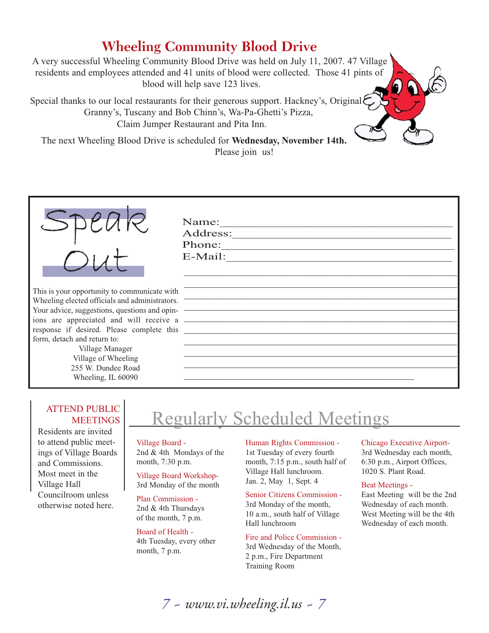# **Wheeling Community Blood Drive**

A very successful Wheeling Community Blood Drive was held on July 11, 2007. 47 Village residents and employees attended and 41 units of blood were collected. Those 41 pints of blood will help save 123 lives.

Special thanks to our local restaurants for their generous support. Hackney's, Original Granny's, Tuscany and Bob Chinn's, Wa-Pa-Ghetti's Pizza, Claim Jumper Restaurant and Pita Inn.

The next Wheeling Blood Drive is scheduled for **Wednesday, November 14th.** Please join us!



This is your opportunity to communicat Wheeling elected officials and administ Your advice, suggestions, questions and ions are appreciated and will rece response if desired. Please complete form, detach and return to:

> Village Manager Village of Wheeling 255 W. Dundee Road Wheeling, IL 60090

| Phone:                                                                                                               |  |
|----------------------------------------------------------------------------------------------------------------------|--|
|                                                                                                                      |  |
|                                                                                                                      |  |
|                                                                                                                      |  |
|                                                                                                                      |  |
|                                                                                                                      |  |
| <u> Alexandria de la contrada de la contrada de la contrada de la contrada de la contrada de la contrada de la c</u> |  |
|                                                                                                                      |  |
|                                                                                                                      |  |
|                                                                                                                      |  |
|                                                                                                                      |  |
|                                                                                                                      |  |
|                                                                                                                      |  |

#### ATTEND PUBLIC **MEETINGS**

Residents are invited to attend public meetings of Village Boards and Commissions. Most meet in the Village Hall Councilroom unless otherwise noted here.

# Regularly Scheduled Meetings

*7 ~ www.vi.wheeling.il.us ~ 7*

Village Board - 2nd & 4th Mondays of the month, 7:30 p.m.

Village Board Workshop-3rd Monday of the month

Plan Commission - 2nd & 4th Thursdays of the month, 7 p.m.

Board of Health - 4th Tuesday, every other month, 7 p.m.

Human Rights Commission - 1st Tuesday of every fourth month, 7:15 p.m., south half of Village Hall lunchroom. Jan. 2, May 1, Sept. 4

Senior Citizens Commission - 3rd Monday of the month, 10 a.m., south half of Village Hall lunchroom

Fire and Police Commission - 3rd Wednesday of the Month, 2 p.m., Fire Department Training Room

Chicago Executive Airport-3rd Wednesday each month, 6:30 p.m., Airport Offices, 1020 S. Plant Road.

Beat Meetings -

East Meeting will be the 2nd Wednesday of each month. West Meeting will be the 4th Wednesday of each month.